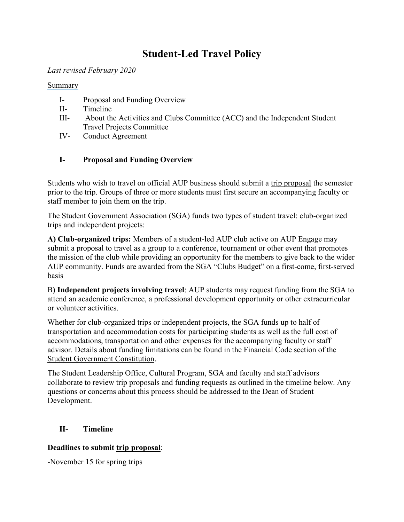# **Student-Led Travel Policy**

#### *Last revised February 2020*

#### Summary

- I- Proposal and Funding Overview
- II- Timeline
- III- About the Activities and Clubs Committee (ACC) and the Independent Student Travel Projects Committee
- IV- Conduct Agreement

## **I- Proposal and Funding Overview**

Students who wish to travel on official AUP business should submit a [trip proposal](https://aup.campuslabs.com/engage/submitter/form/start/371426) the semester prior to the trip. Groups of three or more students must first secure an accompanying faculty or staff member to join them on the trip.

The Student Government Association (SGA) funds two types of student travel: club-organized trips and independent projects:

**A) Club-organized trips:** Members of a student-led AUP club active on AUP Engage may submit a proposal to travel as a group to a conference, tournament or other event that promotes the mission of the club while providing an opportunity for the members to give back to the wider AUP community. Funds are awarded from the SGA "Clubs Budget" on a first-come, first-served basis

B**) Independent projects involving travel**: AUP students may request funding from the SGA to attend an academic conference, a professional development opportunity or other extracurricular or volunteer activities.

Whether for club-organized trips or independent projects, the SGA funds up to half of transportation and accommodation costs for participating students as well as the full cost of accommodations, transportation and other expenses for the accompanying faculty or staff advisor. Details about funding limitations can be found in the Financial Code section of the [Student Government Constitution.](https://www.aup.edu/student-life/activities/student-government)

The Student Leadership Office, Cultural Program, SGA and faculty and staff advisors collaborate to review trip proposals and funding requests as outlined in the timeline below. Any questions or concerns about this process should be addressed to the Dean of Student Development.

## **II- Timeline**

## **Deadlines to submit [trip proposal](https://aup.campuslabs.com/engage/submitter/form/start/371426)**:

-November 15 for spring trips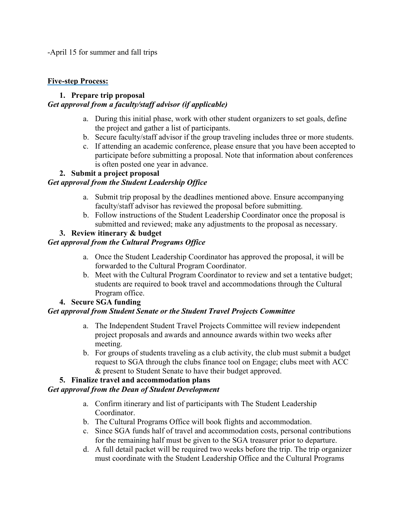-April 15 for summer and fall trips

#### **Five-step Process:**

## **1. Prepare trip proposal**

## *Get approval from a faculty/staff advisor (if applicable)*

- a. During this initial phase, work with other student organizers to set goals, define the project and gather a list of participants.
- b. Secure faculty/staff advisor if the group traveling includes three or more students.
- c. If attending an academic conference, please ensure that you have been accepted to participate before submitting a proposal. Note that information about conferences is often posted one year in advance.

## **2. Submit a project proposal**

## *Get approval from the Student Leadership Office*

- a. Submit trip proposal by the deadlines mentioned above. Ensure accompanying faculty/staff advisor has reviewed the proposal before submitting.
- b. Follow instructions of the Student Leadership Coordinator once the proposal is submitted and reviewed; make any adjustments to the proposal as necessary.

## **3. Review itinerary & budget**

## *Get approval from the Cultural Programs Office*

- a. Once the Student Leadership Coordinator has approved the proposal, it will be forwarded to the Cultural Program Coordinator.
- b. Meet with the Cultural Program Coordinator to review and set a tentative budget; students are required to book travel and accommodations through the Cultural Program office.

## **4. Secure SGA funding**

## *Get approval from Student Senate or the Student Travel Projects Committee*

- a. The Independent Student Travel Projects Committee will review independent project proposals and awards and announce awards within two weeks after meeting.
- b. For groups of students traveling as a club activity, the club must submit a budget request to SGA through the clubs finance tool on Engage; clubs meet with ACC & present to Student Senate to have their budget approved.

## **5. Finalize travel and accommodation plans**

## *Get approval from the Dean of Student Development*

- a. Confirm itinerary and list of participants with The Student Leadership Coordinator.
- b. The Cultural Programs Office will book flights and accommodation.
- c. Since SGA funds half of travel and accommodation costs, personal contributions for the remaining half must be given to the SGA treasurer prior to departure.
- d. A full detail packet will be required two weeks before the trip. The trip organizer must coordinate with the Student Leadership Office and the Cultural Programs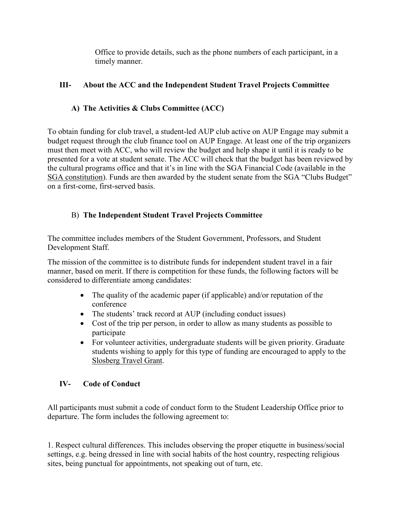Office to provide details, such as the phone numbers of each participant, in a timely manner.

## **III- About the ACC and the Independent Student Travel Projects Committee**

# **A) The Activities & Clubs Committee (ACC)**

To obtain funding for club travel, a student-led AUP club active on AUP Engage may submit a budget request through the club finance tool on AUP Engage. At least one of the trip organizers must then meet with ACC, who will review the budget and help shape it until it is ready to be presented for a vote at student senate. The ACC will check that the budget has been reviewed by the cultural programs office and that it's in line with the SGA Financial Code (available in the [SGA constitution](https://www.aup.edu/student-life/activities/student-government)). Funds are then awarded by the student senate from the SGA "Clubs Budget" on a first-come, first-served basis.

# B) **The Independent Student Travel Projects Committee**

The committee includes members of the Student Government, Professors, and Student Development Staff.

The mission of the committee is to distribute funds for independent student travel in a fair manner, based on merit. If there is competition for these funds, the following factors will be considered to differentiate among candidates:

- The quality of the academic paper (if applicable) and/or reputation of the conference
- The students' track record at AUP (including conduct issues)
- Cost of the trip per person, in order to allow as many students as possible to participate
- For volunteer activities, undergraduate students will be given priority. Graduate students wishing to apply for this type of funding are encouraged to apply to the [Slosberg Travel Grant.](https://www.aup.edu/student-life/support/student-accounting-services/scholarships-awards-grants/slosberg-travel-grant)

## **IV- Code of Conduct**

All participants must submit a code of conduct form to the Student Leadership Office prior to departure. The form includes the following agreement to:

1. Respect cultural differences. This includes observing the proper etiquette in business/social settings, e.g. being dressed in line with social habits of the host country, respecting religious sites, being punctual for appointments, not speaking out of turn, etc.